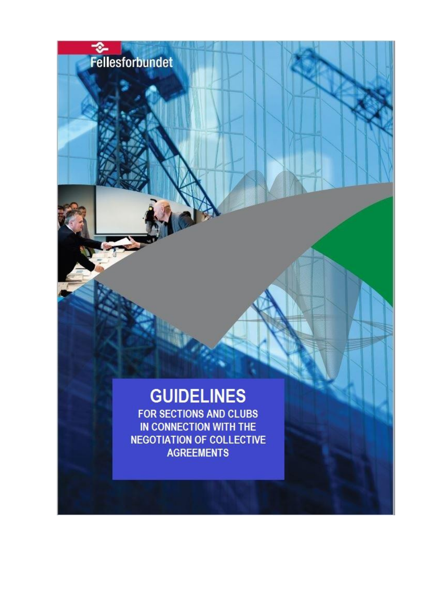# **GUIDELINES**

Fellesforbundet

FOR SECTIONS AND CLUBS IN CONNECTION WITH THE **NEGOTIATION OF COLLECTIVE AGREEMENTS**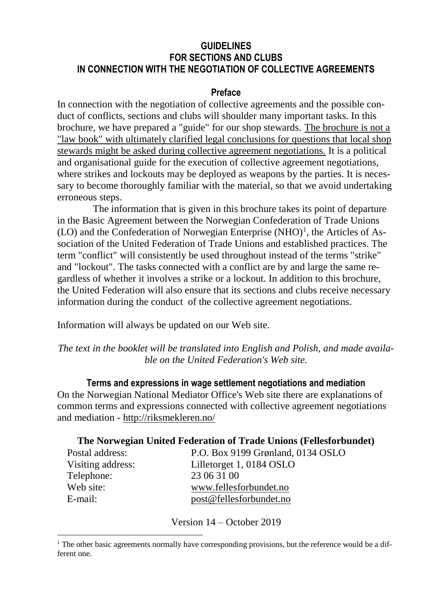#### **GUIDELINES FOR SECTIONS AND CLUBS IN CONNECTION WITH THE NEGOTIATION OF COLLECTIVE AGREEMENTS**

#### **Preface**

In connection with the negotiation of collective agreements and the possible conduct of conflicts, sections and clubs will shoulder many important tasks. In this brochure, we have prepared a "guide" for our shop stewards. The brochure is not a "law book" with ultimately clarified legal conclusions for questions that local shop stewards might be asked during collective agreement negotiations. It is a political and organisational guide for the execution of collective agreement negotiations, where strikes and lockouts may be deployed as weapons by the parties. It is necessary to become thoroughly familiar with the material, so that we avoid undertaking erroneous steps.

The information that is given in this brochure takes its point of departure in the Basic Agreement between the Norwegian Confederation of Trade Unions  $(LO)$  and the Confederation of Norwegian Enterprise  $(NHO)^{1}$ , the Articles of Association of the United Federation of Trade Unions and established practices. The term "conflict" will consistently be used throughout instead of the terms "strike" and "lockout". The tasks connected with a conflict are by and large the same regardless of whether it involves a strike or a lockout. In addition to this brochure, the United Federation will also ensure that its sections and clubs receive necessary information during the conduct of the collective agreement negotiations.

Information will always be updated on our Web site.

 $\overline{\phantom{a}}$ 

*The text in the booklet will be translated into English and Polish, and made available on the United Federation's Web site.*

**Terms and expressions in wage settlement negotiations and mediation** On the Norwegian National Mediator Office's Web site there are explanations of common terms and expressions connected with collective agreement negotiations and mediation - <http://riksmekleren.no/>

#### **The Norwegian United Federation of Trade Unions (Fellesforbundet)**

| Postal address:   | P.O. Box 9199 Grønland, 0134 OSLO |
|-------------------|-----------------------------------|
| Visiting address: | Lilletorget 1, 0184 OSLO          |
| Telephone:        | 23 06 31 00                       |
| Web site:         | www.fellesforbundet.no            |
| E-mail:           | post@fellesforbundet.no           |

Version 14 – October 2019

 $<sup>1</sup>$  The other basic agreements normally have corresponding provisions, but the reference would be a dif-</sup> ferent one.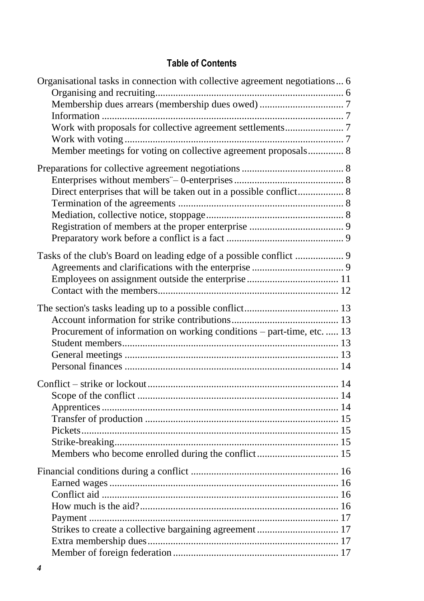# **Table of Contents**

| Organisational tasks in connection with collective agreement negotiations 6 |  |
|-----------------------------------------------------------------------------|--|
|                                                                             |  |
|                                                                             |  |
| Member meetings for voting on collective agreement proposals 8              |  |
|                                                                             |  |
| Direct enterprises that will be taken out in a possible conflict 8          |  |
|                                                                             |  |
|                                                                             |  |
|                                                                             |  |
|                                                                             |  |
| Tasks of the club's Board on leading edge of a possible conflict  9         |  |
|                                                                             |  |
|                                                                             |  |
|                                                                             |  |
|                                                                             |  |
|                                                                             |  |
| Procurement of information on working conditions - part-time, etc.  13      |  |
|                                                                             |  |
|                                                                             |  |
|                                                                             |  |
|                                                                             |  |
|                                                                             |  |
|                                                                             |  |
|                                                                             |  |
|                                                                             |  |
|                                                                             |  |
|                                                                             |  |
| Members who become enrolled during the conflict 15                          |  |
|                                                                             |  |
|                                                                             |  |
|                                                                             |  |
|                                                                             |  |
|                                                                             |  |
|                                                                             |  |
|                                                                             |  |
|                                                                             |  |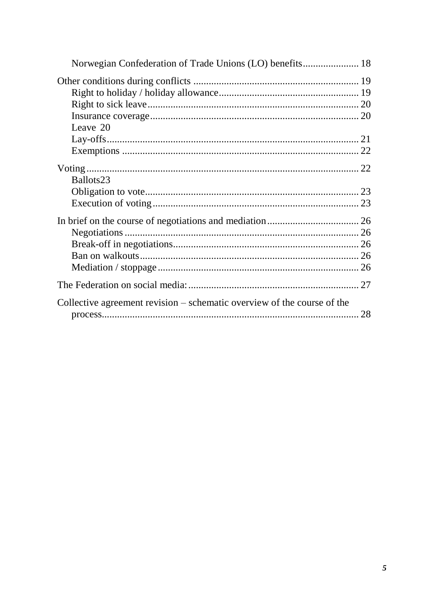| Leave 20                                                                |  |
|-------------------------------------------------------------------------|--|
|                                                                         |  |
|                                                                         |  |
|                                                                         |  |
| Ballots <sub>23</sub>                                                   |  |
|                                                                         |  |
|                                                                         |  |
|                                                                         |  |
|                                                                         |  |
|                                                                         |  |
|                                                                         |  |
|                                                                         |  |
|                                                                         |  |
| Collective agreement revision – schematic overview of the course of the |  |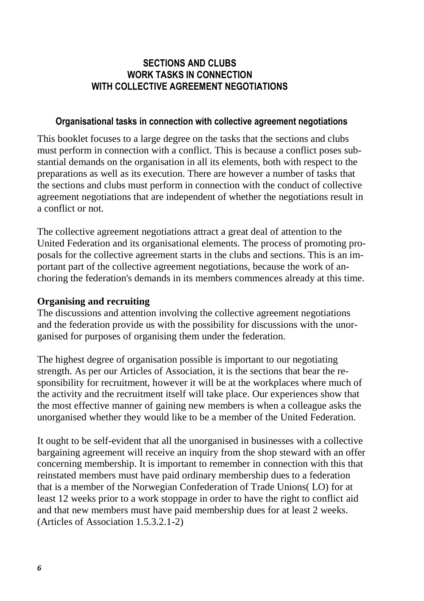## **SECTIONS AND CLUBS WORK TASKS IN CONNECTION WITH COLLECTIVE AGREEMENT NEGOTIATIONS**

#### **Organisational tasks in connection with collective agreement negotiations**

<span id="page-5-0"></span>This booklet focuses to a large degree on the tasks that the sections and clubs must perform in connection with a conflict. This is because a conflict poses substantial demands on the organisation in all its elements, both with respect to the preparations as well as its execution. There are however a number of tasks that the sections and clubs must perform in connection with the conduct of collective agreement negotiations that are independent of whether the negotiations result in a conflict or not.

The collective agreement negotiations attract a great deal of attention to the United Federation and its organisational elements. The process of promoting proposals for the collective agreement starts in the clubs and sections. This is an important part of the collective agreement negotiations, because the work of anchoring the federation's demands in its members commences already at this time.

#### <span id="page-5-1"></span>**Organising and recruiting**

The discussions and attention involving the collective agreement negotiations and the federation provide us with the possibility for discussions with the unorganised for purposes of organising them under the federation.

The highest degree of organisation possible is important to our negotiating strength. As per our Articles of Association, it is the sections that bear the responsibility for recruitment, however it will be at the workplaces where much of the activity and the recruitment itself will take place. Our experiences show that the most effective manner of gaining new members is when a colleague asks the unorganised whether they would like to be a member of the United Federation.

It ought to be self-evident that all the unorganised in businesses with a collective bargaining agreement will receive an inquiry from the shop steward with an offer concerning membership. It is important to remember in connection with this that reinstated members must have paid ordinary membership dues to a federation that is a member of the Norwegian Confederation of Trade Unions( LO) for at least 12 weeks prior to a work stoppage in order to have the right to conflict aid and that new members must have paid membership dues for at least 2 weeks. (Articles of Association 1.5.3.2.1-2)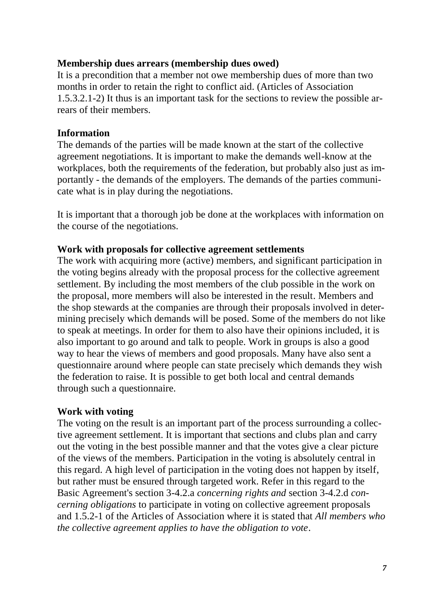## <span id="page-6-0"></span>**Membership dues arrears (membership dues owed)**

It is a precondition that a member not owe membership dues of more than two months in order to retain the right to conflict aid. (Articles of Association 1.5.3.2.1-2) It thus is an important task for the sections to review the possible arrears of their members.

#### <span id="page-6-1"></span>**Information**

The demands of the parties will be made known at the start of the collective agreement negotiations. It is important to make the demands well-know at the workplaces, both the requirements of the federation, but probably also just as importantly - the demands of the employers. The demands of the parties communicate what is in play during the negotiations.

It is important that a thorough job be done at the workplaces with information on the course of the negotiations.

#### <span id="page-6-2"></span>**Work with proposals for collective agreement settlements**

The work with acquiring more (active) members, and significant participation in the voting begins already with the proposal process for the collective agreement settlement. By including the most members of the club possible in the work on the proposal, more members will also be interested in the result. Members and the shop stewards at the companies are through their proposals involved in determining precisely which demands will be posed. Some of the members do not like to speak at meetings. In order for them to also have their opinions included, it is also important to go around and talk to people. Work in groups is also a good way to hear the views of members and good proposals. Many have also sent a questionnaire around where people can state precisely which demands they wish the federation to raise. It is possible to get both local and central demands through such a questionnaire.

## <span id="page-6-3"></span>**Work with voting**

The voting on the result is an important part of the process surrounding a collective agreement settlement. It is important that sections and clubs plan and carry out the voting in the best possible manner and that the votes give a clear picture of the views of the members. Participation in the voting is absolutely central in this regard. A high level of participation in the voting does not happen by itself, but rather must be ensured through targeted work. Refer in this regard to the Basic Agreement's section 3-4.2.a *concerning rights and* section 3-4.2.d *concerning obligations* to participate in voting on collective agreement proposals and 1.5.2-1 of the Articles of Association where it is stated that *All members who the collective agreement applies to have the obligation to vote*.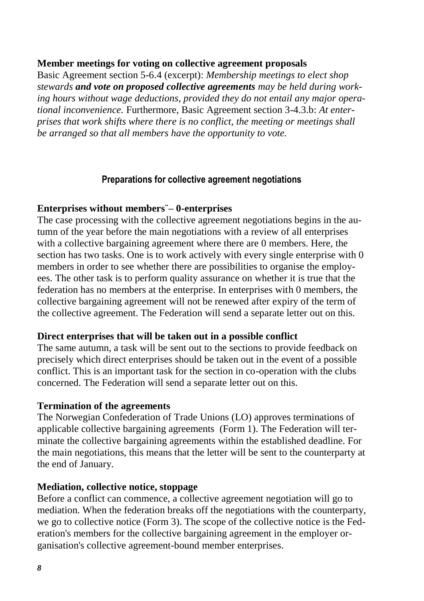#### <span id="page-7-0"></span>**Member meetings for voting on collective agreement proposals**

Basic Agreement section 5-6.4 (excerpt): *Membership meetings to elect shop stewards and vote on proposed collective agreements may be held during working hours without wage deductions, provided they do not entail any major operational inconvenience.* Furthermore, Basic Agreement section 3-4.3.b: *At enterprises that work shifts where there is no conflict, the meeting or meetings shall be arranged so that all members have the opportunity to vote.*

#### **Preparations for collective agreement negotiations**

#### <span id="page-7-2"></span><span id="page-7-1"></span>**Enterprises without members¨– 0-enterprises**

The case processing with the collective agreement negotiations begins in the autumn of the year before the main negotiations with a review of all enterprises with a collective bargaining agreement where there are 0 members. Here, the section has two tasks. One is to work actively with every single enterprise with 0 members in order to see whether there are possibilities to organise the employees. The other task is to perform quality assurance on whether it is true that the federation has no members at the enterprise. In enterprises with 0 members, the collective bargaining agreement will not be renewed after expiry of the term of the collective agreement. The Federation will send a separate letter out on this.

#### <span id="page-7-3"></span>**Direct enterprises that will be taken out in a possible conflict**

The same autumn, a task will be sent out to the sections to provide feedback on precisely which direct enterprises should be taken out in the event of a possible conflict. This is an important task for the section in co-operation with the clubs concerned. The Federation will send a separate letter out on this.

#### <span id="page-7-4"></span>**Termination of the agreements**

The Norwegian Confederation of Trade Unions (LO) approves terminations of applicable collective bargaining agreements (Form 1). The Federation will terminate the collective bargaining agreements within the established deadline. For the main negotiations, this means that the letter will be sent to the counterparty at the end of January.

#### <span id="page-7-5"></span>**Mediation, collective notice, stoppage**

Before a conflict can commence, a collective agreement negotiation will go to mediation. When the federation breaks off the negotiations with the counterparty, we go to collective notice (Form 3). The scope of the collective notice is the Federation's members for the collective bargaining agreement in the employer organisation's collective agreement-bound member enterprises.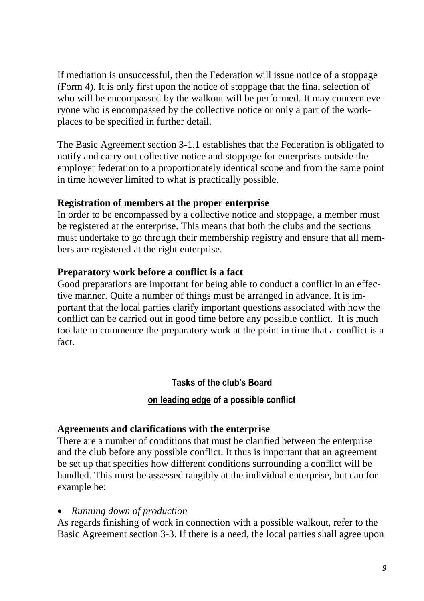If mediation is unsuccessful, then the Federation will issue notice of a stoppage (Form 4). It is only first upon the notice of stoppage that the final selection of who will be encompassed by the walkout will be performed. It may concern everyone who is encompassed by the collective notice or only a part of the workplaces to be specified in further detail.

The Basic Agreement section 3-1.1 establishes that the Federation is obligated to notify and carry out collective notice and stoppage for enterprises outside the employer federation to a proportionately identical scope and from the same point in time however limited to what is practically possible.

#### <span id="page-8-0"></span>**Registration of members at the proper enterprise**

In order to be encompassed by a collective notice and stoppage, a member must be registered at the enterprise. This means that both the clubs and the sections must undertake to go through their membership registry and ensure that all members are registered at the right enterprise.

#### <span id="page-8-1"></span>**Preparatory work before a conflict is a fact**

Good preparations are important for being able to conduct a conflict in an effective manner. Quite a number of things must be arranged in advance. It is important that the local parties clarify important questions associated with how the conflict can be carried out in good time before any possible conflict. It is much too late to commence the preparatory work at the point in time that a conflict is a fact.

> **Tasks of the club's Board on leading edge of a possible conflict**

## <span id="page-8-3"></span><span id="page-8-2"></span>**Agreements and clarifications with the enterprise**

There are a number of conditions that must be clarified between the enterprise and the club before any possible conflict. It thus is important that an agreement be set up that specifies how different conditions surrounding a conflict will be handled. This must be assessed tangibly at the individual enterprise, but can for example be:

#### • *Running down of production*

As regards finishing of work in connection with a possible walkout, refer to the Basic Agreement section 3-3. If there is a need, the local parties shall agree upon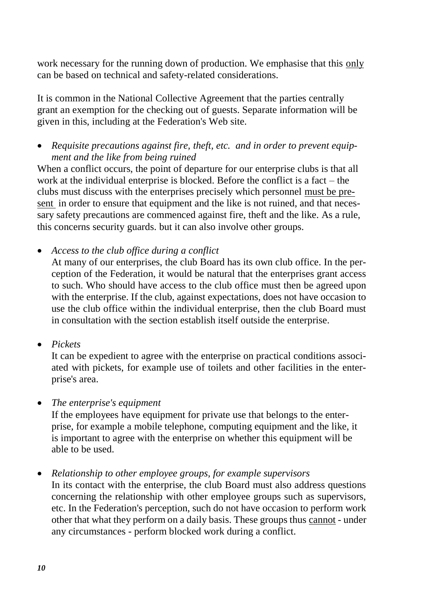work necessary for the running down of production. We emphasise that this only can be based on technical and safety-related considerations.

It is common in the National Collective Agreement that the parties centrally grant an exemption for the checking out of guests. Separate information will be given in this, including at the Federation's Web site.

• *Requisite precautions against fire, theft, etc. and in order to prevent equipment and the like from being ruined* 

When a conflict occurs, the point of departure for our enterprise clubs is that all work at the individual enterprise is blocked. Before the conflict is a fact – the clubs must discuss with the enterprises precisely which personnel must be present in order to ensure that equipment and the like is not ruined, and that necessary safety precautions are commenced against fire, theft and the like. As a rule, this concerns security guards. but it can also involve other groups.

• *Access to the club office during a conflict*

At many of our enterprises, the club Board has its own club office. In the perception of the Federation, it would be natural that the enterprises grant access to such. Who should have access to the club office must then be agreed upon with the enterprise. If the club, against expectations, does not have occasion to use the club office within the individual enterprise, then the club Board must in consultation with the section establish itself outside the enterprise.

• *Pickets*

It can be expedient to agree with the enterprise on practical conditions associated with pickets, for example use of toilets and other facilities in the enterprise's area.

• *The enterprise's equipment* 

If the employees have equipment for private use that belongs to the enterprise, for example a mobile telephone, computing equipment and the like, it is important to agree with the enterprise on whether this equipment will be able to be used.

• *Relationship to other employee groups, for example supervisors*

In its contact with the enterprise, the club Board must also address questions concerning the relationship with other employee groups such as supervisors, etc. In the Federation's perception, such do not have occasion to perform work other that what they perform on a daily basis. These groups thus cannot - under any circumstances - perform blocked work during a conflict.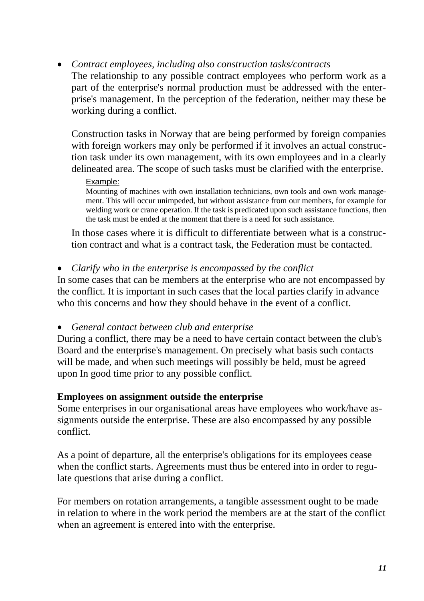• *Contract employees, including also construction tasks/contracts* The relationship to any possible contract employees who perform work as a part of the enterprise's normal production must be addressed with the enterprise's management. In the perception of the federation, neither may these be working during a conflict.

Construction tasks in Norway that are being performed by foreign companies with foreign workers may only be performed if it involves an actual construction task under its own management, with its own employees and in a clearly delineated area. The scope of such tasks must be clarified with the enterprise.

#### Example:

Mounting of machines with own installation technicians, own tools and own work management. This will occur unimpeded, but without assistance from our members, for example for welding work or crane operation. If the task is predicated upon such assistance functions, then the task must be ended at the moment that there is a need for such assistance.

In those cases where it is difficult to differentiate between what is a construction contract and what is a contract task, the Federation must be contacted.

• *Clarify who in the enterprise is encompassed by the conflict* 

In some cases that can be members at the enterprise who are not encompassed by the conflict. It is important in such cases that the local parties clarify in advance who this concerns and how they should behave in the event of a conflict.

• *General contact between club and enterprise*

During a conflict, there may be a need to have certain contact between the club's Board and the enterprise's management. On precisely what basis such contacts will be made, and when such meetings will possibly be held, must be agreed upon In good time prior to any possible conflict.

## <span id="page-10-0"></span>**Employees on assignment outside the enterprise**

Some enterprises in our organisational areas have employees who work/have assignments outside the enterprise. These are also encompassed by any possible conflict.

As a point of departure, all the enterprise's obligations for its employees cease when the conflict starts. Agreements must thus be entered into in order to regulate questions that arise during a conflict.

For members on rotation arrangements, a tangible assessment ought to be made in relation to where in the work period the members are at the start of the conflict when an agreement is entered into with the enterprise.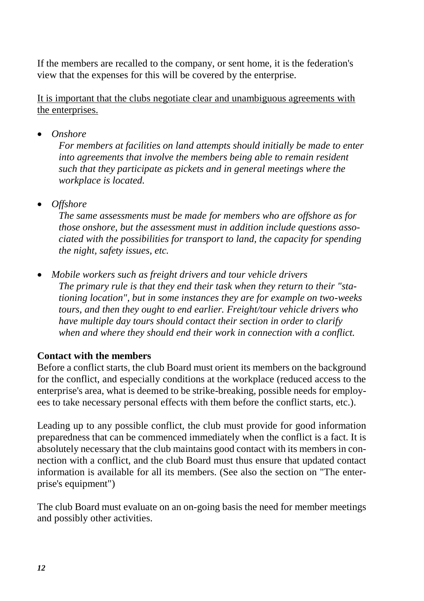If the members are recalled to the company, or sent home, it is the federation's view that the expenses for this will be covered by the enterprise.

It is important that the clubs negotiate clear and unambiguous agreements with the enterprises.

• *Onshore*

*For members at facilities on land attempts should initially be made to enter into agreements that involve the members being able to remain resident such that they participate as pickets and in general meetings where the workplace is located.*

• *Offshore*

*The same assessments must be made for members who are offshore as for those onshore, but the assessment must in addition include questions associated with the possibilities for transport to land, the capacity for spending the night, safety issues, etc.*

• *Mobile workers such as freight drivers and tour vehicle drivers The primary rule is that they end their task when they return to their "stationing location", but in some instances they are for example on two-weeks tours, and then they ought to end earlier. Freight/tour vehicle drivers who have multiple day tours should contact their section in order to clarify when and where they should end their work in connection with a conflict.*

# <span id="page-11-0"></span>**Contact with the members**

Before a conflict starts, the club Board must orient its members on the background for the conflict, and especially conditions at the workplace (reduced access to the enterprise's area, what is deemed to be strike-breaking, possible needs for employees to take necessary personal effects with them before the conflict starts, etc.).

Leading up to any possible conflict, the club must provide for good information preparedness that can be commenced immediately when the conflict is a fact. It is absolutely necessary that the club maintains good contact with its members in connection with a conflict, and the club Board must thus ensure that updated contact information is available for all its members. (See also the section on "The enterprise's equipment")

The club Board must evaluate on an on-going basis the need for member meetings and possibly other activities.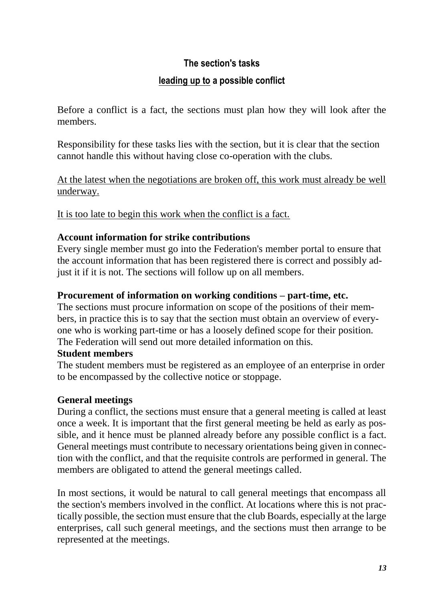# **The section's tasks**

# **leading up to a possible conflict**

<span id="page-12-0"></span>Before a conflict is a fact, the sections must plan how they will look after the members.

Responsibility for these tasks lies with the section, but it is clear that the section cannot handle this without having close co-operation with the clubs.

At the latest when the negotiations are broken off, this work must already be well underway.

It is too late to begin this work when the conflict is a fact.

# <span id="page-12-1"></span>**Account information for strike contributions**

Every single member must go into the Federation's member portal to ensure that the account information that has been registered there is correct and possibly adjust it if it is not. The sections will follow up on all members.

# <span id="page-12-2"></span>**Procurement of information on working conditions – part-time, etc.**

The sections must procure information on scope of the positions of their members, in practice this is to say that the section must obtain an overview of everyone who is working part-time or has a loosely defined scope for their position. The Federation will send out more detailed information on this.

## <span id="page-12-3"></span>**Student members**

The student members must be registered as an employee of an enterprise in order to be encompassed by the collective notice or stoppage.

# <span id="page-12-4"></span>**General meetings**

During a conflict, the sections must ensure that a general meeting is called at least once a week. It is important that the first general meeting be held as early as possible, and it hence must be planned already before any possible conflict is a fact. General meetings must contribute to necessary orientations being given in connection with the conflict, and that the requisite controls are performed in general. The members are obligated to attend the general meetings called.

In most sections, it would be natural to call general meetings that encompass all the section's members involved in the conflict. At locations where this is not practically possible, the section must ensure that the club Boards, especially at the large enterprises, call such general meetings, and the sections must then arrange to be represented at the meetings.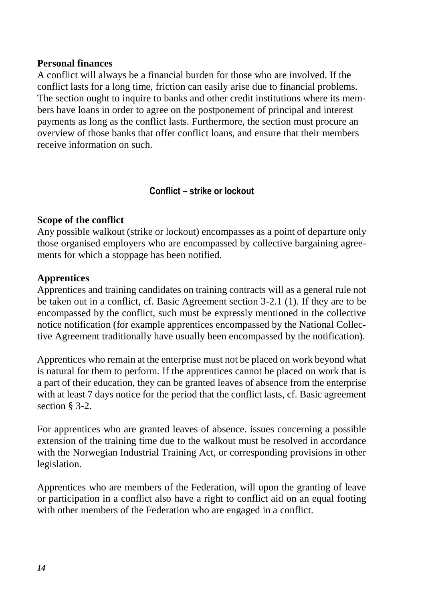#### <span id="page-13-0"></span>**Personal finances**

A conflict will always be a financial burden for those who are involved. If the conflict lasts for a long time, friction can easily arise due to financial problems. The section ought to inquire to banks and other credit institutions where its members have loans in order to agree on the postponement of principal and interest payments as long as the conflict lasts. Furthermore, the section must procure an overview of those banks that offer conflict loans, and ensure that their members receive information on such.

#### **Conflict – strike or lockout**

#### <span id="page-13-2"></span><span id="page-13-1"></span>**Scope of the conflict**

Any possible walkout (strike or lockout) encompasses as a point of departure only those organised employers who are encompassed by collective bargaining agreements for which a stoppage has been notified.

#### <span id="page-13-3"></span>**Apprentices**

Apprentices and training candidates on training contracts will as a general rule not be taken out in a conflict, cf. Basic Agreement section 3-2.1 (1). If they are to be encompassed by the conflict, such must be expressly mentioned in the collective notice notification (for example apprentices encompassed by the National Collective Agreement traditionally have usually been encompassed by the notification).

Apprentices who remain at the enterprise must not be placed on work beyond what is natural for them to perform. If the apprentices cannot be placed on work that is a part of their education, they can be granted leaves of absence from the enterprise with at least 7 days notice for the period that the conflict lasts, cf. Basic agreement section § 3-2.

For apprentices who are granted leaves of absence. issues concerning a possible extension of the training time due to the walkout must be resolved in accordance with the Norwegian Industrial Training Act, or corresponding provisions in other legislation.

Apprentices who are members of the Federation, will upon the granting of leave or participation in a conflict also have a right to conflict aid on an equal footing with other members of the Federation who are engaged in a conflict.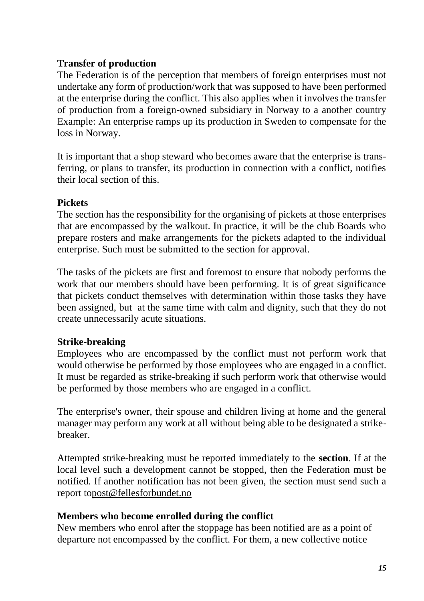#### <span id="page-14-0"></span>**Transfer of production**

The Federation is of the perception that members of foreign enterprises must not undertake any form of production/work that was supposed to have been performed at the enterprise during the conflict. This also applies when it involves the transfer of production from a foreign-owned subsidiary in Norway to a another country Example: An enterprise ramps up its production in Sweden to compensate for the loss in Norway.

It is important that a shop steward who becomes aware that the enterprise is transferring, or plans to transfer, its production in connection with a conflict, notifies their local section of this.

#### <span id="page-14-1"></span>**Pickets**

The section has the responsibility for the organising of pickets at those enterprises that are encompassed by the walkout. In practice, it will be the club Boards who prepare rosters and make arrangements for the pickets adapted to the individual enterprise. Such must be submitted to the section for approval.

The tasks of the pickets are first and foremost to ensure that nobody performs the work that our members should have been performing. It is of great significance that pickets conduct themselves with determination within those tasks they have been assigned, but at the same time with calm and dignity, such that they do not create unnecessarily acute situations.

## <span id="page-14-2"></span>**Strike-breaking**

Employees who are encompassed by the conflict must not perform work that would otherwise be performed by those employees who are engaged in a conflict. It must be regarded as strike-breaking if such perform work that otherwise would be performed by those members who are engaged in a conflict.

The enterprise's owner, their spouse and children living at home and the general manager may perform any work at all without being able to be designated a strikebreaker.

Attempted strike-breaking must be reported immediately to the **section**. If at the local level such a development cannot be stopped, then the Federation must be notified. If another notification has not been given, the section must send such a report t[opost@fellesforbundet.no](mailto:post@fellesforbundet.no)

#### <span id="page-14-3"></span>**Members who become enrolled during the conflict**

New members who enrol after the stoppage has been notified are as a point of departure not encompassed by the conflict. For them, a new collective notice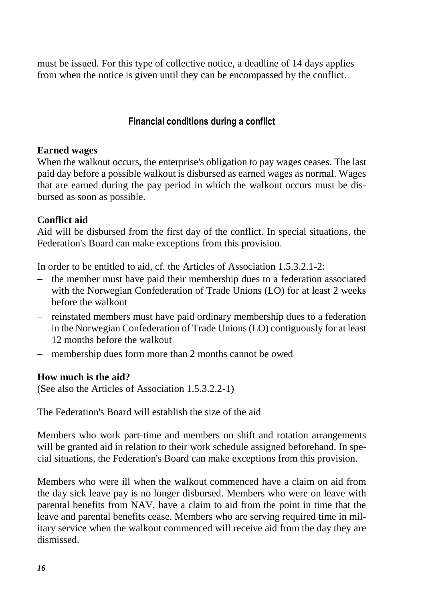must be issued. For this type of collective notice, a deadline of 14 days applies from when the notice is given until they can be encompassed by the conflict.

## **Financial conditions during a conflict**

#### <span id="page-15-1"></span><span id="page-15-0"></span>**Earned wages**

When the walkout occurs, the enterprise's obligation to pay wages ceases. The last paid day before a possible walkout is disbursed as earned wages as normal. Wages that are earned during the pay period in which the walkout occurs must be disbursed as soon as possible.

#### <span id="page-15-2"></span>**Conflict aid**

Aid will be disbursed from the first day of the conflict. In special situations, the Federation's Board can make exceptions from this provision.

In order to be entitled to aid, cf. the Articles of Association 1.5.3.2.1-2:

- $-$  the member must have paid their membership dues to a federation associated with the Norwegian Confederation of Trade Unions (LO) for at least 2 weeks before the walkout
- reinstated members must have paid ordinary membership dues to a federation in the Norwegian Confederation of Trade Unions (LO) contiguously for at least 12 months before the walkout
- membership dues form more than 2 months cannot be owed

#### <span id="page-15-3"></span>**How much is the aid?**

(See also the Articles of Association 1.5.3.2.2-1)

The Federation's Board will establish the size of the aid

Members who work part-time and members on shift and rotation arrangements will be granted aid in relation to their work schedule assigned beforehand. In special situations, the Federation's Board can make exceptions from this provision.

Members who were ill when the walkout commenced have a claim on aid from the day sick leave pay is no longer disbursed. Members who were on leave with parental benefits from NAV, have a claim to aid from the point in time that the leave and parental benefits cease. Members who are serving required time in military service when the walkout commenced will receive aid from the day they are dismissed.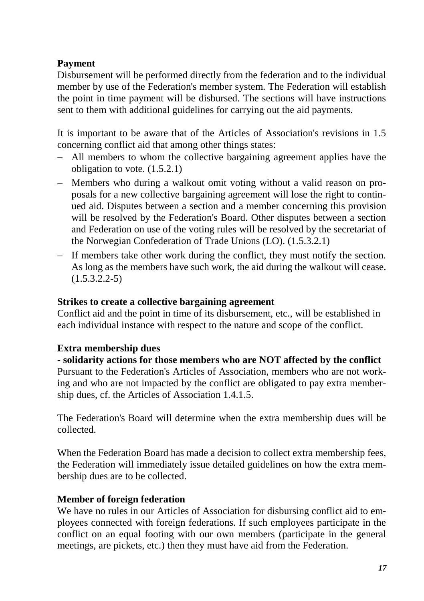# <span id="page-16-0"></span>**Payment**

Disbursement will be performed directly from the federation and to the individual member by use of the Federation's member system. The Federation will establish the point in time payment will be disbursed. The sections will have instructions sent to them with additional guidelines for carrying out the aid payments.

It is important to be aware that of the Articles of Association's revisions in 1.5 concerning conflict aid that among other things states:

- All members to whom the collective bargaining agreement applies have the obligation to vote. (1.5.2.1)
- Members who during a walkout omit voting without a valid reason on proposals for a new collective bargaining agreement will lose the right to continued aid. Disputes between a section and a member concerning this provision will be resolved by the Federation's Board. Other disputes between a section and Federation on use of the voting rules will be resolved by the secretariat of the Norwegian Confederation of Trade Unions (LO). (1.5.3.2.1)
- $-$  If members take other work during the conflict, they must notify the section. As long as the members have such work, the aid during the walkout will cease.  $(1.5.3.2.2-5)$

#### <span id="page-16-1"></span>**Strikes to create a collective bargaining agreement**

Conflict aid and the point in time of its disbursement, etc., will be established in each individual instance with respect to the nature and scope of the conflict.

## <span id="page-16-2"></span>**Extra membership dues**

## **- solidarity actions for those members who are NOT affected by the conflict**

Pursuant to the Federation's Articles of Association, members who are not working and who are not impacted by the conflict are obligated to pay extra membership dues, cf. the Articles of Association 1.4.1.5.

The Federation's Board will determine when the extra membership dues will be collected.

When the Federation Board has made a decision to collect extra membership fees, the Federation will immediately issue detailed guidelines on how the extra membership dues are to be collected.

## <span id="page-16-3"></span>**Member of foreign federation**

We have no rules in our Articles of Association for disbursing conflict aid to employees connected with foreign federations. If such employees participate in the conflict on an equal footing with our own members (participate in the general meetings, are pickets, etc.) then they must have aid from the Federation.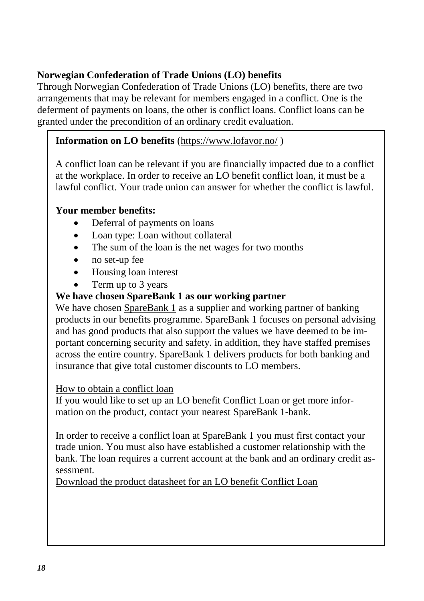# <span id="page-17-0"></span>**Norwegian Confederation of Trade Unions (LO) benefits**

Through Norwegian Confederation of Trade Unions (LO) benefits, there are two arrangements that may be relevant for members engaged in a conflict. One is the deferment of payments on loans, the other is conflict loans. Conflict loans can be granted under the precondition of an ordinary credit evaluation.

# **Information on LO benefits** [\(https://www.lofavor.no/](https://www.lofavor.no/) )

A conflict loan can be relevant if you are financially impacted due to a conflict at the workplace. In order to receive an LO benefit conflict loan, it must be a lawful conflict. Your trade union can answer for whether the conflict is lawful.

# **Your member benefits:**

- Deferral of payments on loans
- Loan type: Loan without collateral
- The sum of the loan is the net wages for two months
- no set-up fee
- Housing loan interest
- Term up to 3 years

# **We have chosen SpareBank 1 as our working partner**

We have chosen [SpareBank 1](https://www.sparebank1.no/nb/bank/privat/tips-og-rad/fordeler-for-lo-medlemmer.html) as a supplier and working partner of banking products in our benefits programme. SpareBank 1 focuses on personal advising and has good products that also support the values we have deemed to be important concerning security and safety. in addition, they have staffed premises across the entire country. SpareBank 1 delivers products for both banking and insurance that give total customer discounts to LO members.

## [How to obtain a conflict loan](https://www.lofavor.no/Medlemsfordeler/Bank/Konfliktlaan#Hvordan_faa_konfliktlaan553468707)

If you would like to set up an LO benefit Conflict Loan or get more information on the product, contact your nearest [SpareBank 1-bank.](https://www.sparebank1.no/bank/fordeler-for-medlemmer-i-lo-forbund/ia1268425876367?refId=1233670899097)

In order to receive a conflict loan at SpareBank 1 you must first contact your trade union. You must also have established a customer relationship with the bank. The loan requires a current account at the bank and an ordinary credit assessment.

[Download the product datasheet for an LO benefit Conflict Loan](https://www.lofavor.no/Media/Dynapark/Kategorier/Bank-og-Finansiering/LOfavoer-Konfliktlaan-prod.ark)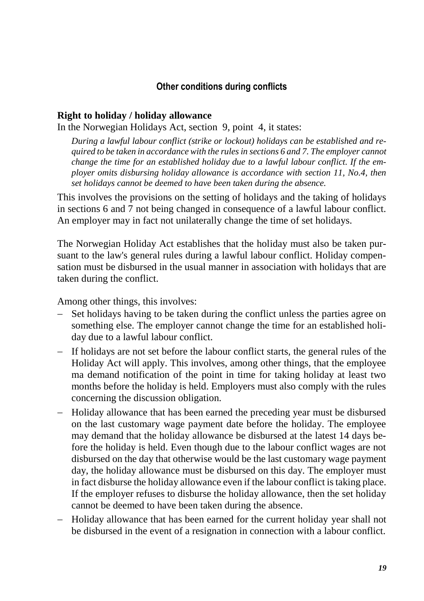#### **Other conditions during conflicts**

#### <span id="page-18-1"></span><span id="page-18-0"></span>**Right to holiday / holiday allowance**

In the Norwegian Holidays Act, section 9, point 4, it states:

*During a lawful labour conflict (strike or lockout) holidays can be established and required to be taken in accordance with the rules in sections 6 and 7. The employer cannot change the time for an established holiday due to a lawful labour conflict. If the employer omits disbursing holiday allowance is accordance with section 11, No.4, then set holidays cannot be deemed to have been taken during the absence.*

This involves the provisions on the setting of holidays and the taking of holidays in sections 6 and 7 not being changed in consequence of a lawful labour conflict. An employer may in fact not unilaterally change the time of set holidays.

The Norwegian Holiday Act establishes that the holiday must also be taken pursuant to the law's general rules during a lawful labour conflict. Holiday compensation must be disbursed in the usual manner in association with holidays that are taken during the conflict.

Among other things, this involves:

- Set holidays having to be taken during the conflict unless the parties agree on something else. The employer cannot change the time for an established holiday due to a lawful labour conflict.
- If holidays are not set before the labour conflict starts, the general rules of the Holiday Act will apply. This involves, among other things, that the employee ma demand notification of the point in time for taking holiday at least two months before the holiday is held. Employers must also comply with the rules concerning the discussion obligation.
- Holiday allowance that has been earned the preceding year must be disbursed on the last customary wage payment date before the holiday. The employee may demand that the holiday allowance be disbursed at the latest 14 days before the holiday is held. Even though due to the labour conflict wages are not disbursed on the day that otherwise would be the last customary wage payment day, the holiday allowance must be disbursed on this day. The employer must in fact disburse the holiday allowance even if the labour conflict is taking place. If the employer refuses to disburse the holiday allowance, then the set holiday cannot be deemed to have been taken during the absence.
- Holiday allowance that has been earned for the current holiday year shall not be disbursed in the event of a resignation in connection with a labour conflict.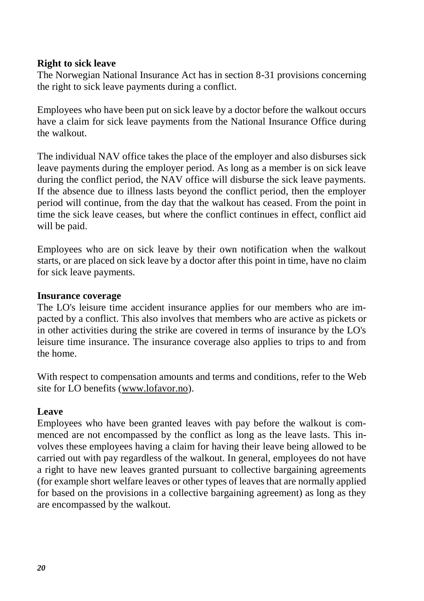#### <span id="page-19-0"></span>**Right to sick leave**

The Norwegian National Insurance Act has in section 8-31 provisions concerning the right to sick leave payments during a conflict.

Employees who have been put on sick leave by a doctor before the walkout occurs have a claim for sick leave payments from the National Insurance Office during the walkout.

The individual NAV office takes the place of the employer and also disburses sick leave payments during the employer period. As long as a member is on sick leave during the conflict period, the NAV office will disburse the sick leave payments. If the absence due to illness lasts beyond the conflict period, then the employer period will continue, from the day that the walkout has ceased. From the point in time the sick leave ceases, but where the conflict continues in effect, conflict aid will be paid.

Employees who are on sick leave by their own notification when the walkout starts, or are placed on sick leave by a doctor after this point in time, have no claim for sick leave payments.

#### <span id="page-19-1"></span>**Insurance coverage**

The LO's leisure time accident insurance applies for our members who are impacted by a conflict. This also involves that members who are active as pickets or in other activities during the strike are covered in terms of insurance by the LO's leisure time insurance. The insurance coverage also applies to trips to and from the home.

With respect to compensation amounts and terms and conditions, refer to the Web site for LO benefits [\(www.lofavor.no\)](http://www.lofavor.no/).

#### <span id="page-19-2"></span>**Leave**

<span id="page-19-3"></span>Employees who have been granted leaves with pay before the walkout is commenced are not encompassed by the conflict as long as the leave lasts. This involves these employees having a claim for having their leave being allowed to be carried out with pay regardless of the walkout. In general, employees do not have a right to have new leaves granted pursuant to collective bargaining agreements (for example short welfare leaves or other types of leaves that are normally applied for based on the provisions in a collective bargaining agreement) as long as they are encompassed by the walkout.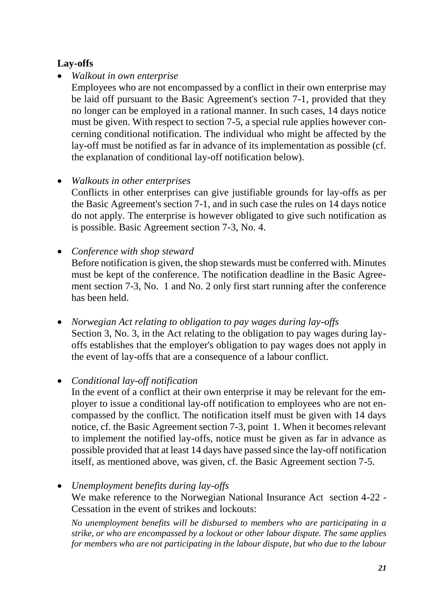# **Lay-offs**

• *Walkout in own enterprise* 

Employees who are not encompassed by a conflict in their own enterprise may be laid off pursuant to the Basic Agreement's section 7-1, provided that they no longer can be employed in a rational manner. In such cases, 14 days notice must be given. With respect to section 7-5, a special rule applies however concerning conditional notification. The individual who might be affected by the lay-off must be notified as far in advance of its implementation as possible (cf. the explanation of conditional lay-off notification below).

# • *Walkouts in other enterprises*

Conflicts in other enterprises can give justifiable grounds for lay-offs as per the Basic Agreement's section 7-1, and in such case the rules on 14 days notice do not apply. The enterprise is however obligated to give such notification as is possible. Basic Agreement section 7-3, No. 4.

• *Conference with shop steward* 

Before notification is given, the shop stewards must be conferred with. Minutes must be kept of the conference. The notification deadline in the Basic Agreement section 7-3, No. 1 and No. 2 only first start running after the conference has been held.

• *Norwegian Act relating to obligation to pay wages during lay-offs* Section 3, No. 3, in the Act relating to the obligation to pay wages during layoffs establishes that the employer's obligation to pay wages does not apply in the event of lay-offs that are a consequence of a labour conflict.

## • *Conditional lay-off notification*

In the event of a conflict at their own enterprise it may be relevant for the employer to issue a conditional lay-off notification to employees who are not encompassed by the conflict. The notification itself must be given with 14 days notice, cf. the Basic Agreement section 7-3, point 1. When it becomes relevant to implement the notified lay-offs, notice must be given as far in advance as possible provided that at least 14 days have passed since the lay-off notification itself, as mentioned above, was given, cf. the Basic Agreement section 7-5.

• *Unemployment benefits during lay-offs*  We make reference to the Norwegian National Insurance Act section 4-22 -

Cessation in the event of strikes and lockouts:

*No unemployment benefits will be disbursed to members who are participating in a strike, or who are encompassed by a lockout or other labour dispute. The same applies for members who are not participating in the labour dispute, but who due to the labour*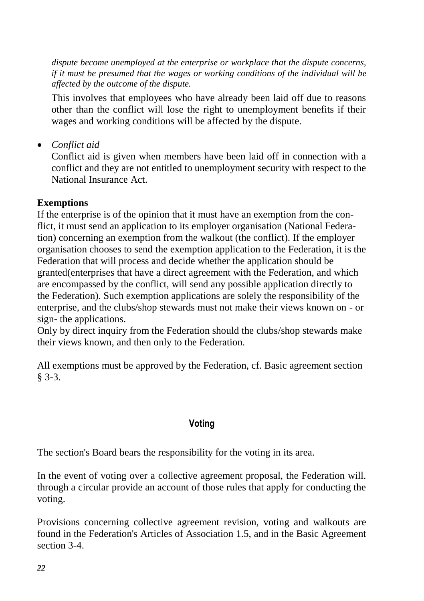*dispute become unemployed at the enterprise or workplace that the dispute concerns, if it must be presumed that the wages or working conditions of the individual will be affected by the outcome of the dispute.*

This involves that employees who have already been laid off due to reasons other than the conflict will lose the right to unemployment benefits if their wages and working conditions will be affected by the dispute.

• *Conflict aid*

Conflict aid is given when members have been laid off in connection with a conflict and they are not entitled to unemployment security with respect to the National Insurance Act.

#### <span id="page-21-0"></span>**Exemptions**

If the enterprise is of the opinion that it must have an exemption from the conflict, it must send an application to its employer organisation (National Federation) concerning an exemption from the walkout (the conflict). If the employer organisation chooses to send the exemption application to the Federation, it is the Federation that will process and decide whether the application should be granted(enterprises that have a direct agreement with the Federation, and which are encompassed by the conflict, will send any possible application directly to the Federation). Such exemption applications are solely the responsibility of the enterprise, and the clubs/shop stewards must not make their views known on - or sign- the applications.

Only by direct inquiry from the Federation should the clubs/shop stewards make their views known, and then only to the Federation.

All exemptions must be approved by the Federation, cf. Basic agreement section § 3-3.

#### **Voting**

<span id="page-21-1"></span>The section's Board bears the responsibility for the voting in its area.

In the event of voting over a collective agreement proposal, the Federation will. through a circular provide an account of those rules that apply for conducting the voting.

Provisions concerning collective agreement revision, voting and walkouts are found in the Federation's Articles of Association 1.5, and in the Basic Agreement section 3-4.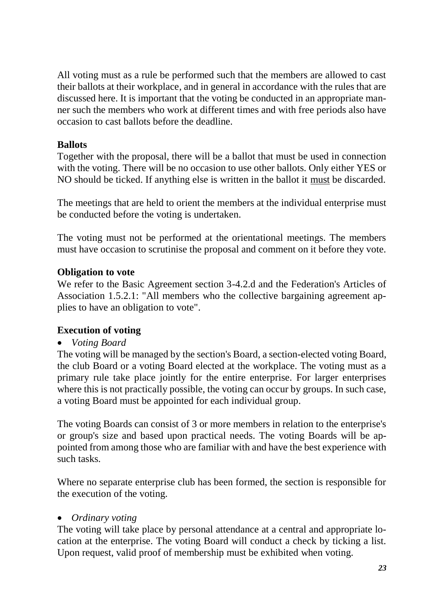All voting must as a rule be performed such that the members are allowed to cast their ballots at their workplace, and in general in accordance with the rules that are discussed here. It is important that the voting be conducted in an appropriate manner such the members who work at different times and with free periods also have occasion to cast ballots before the deadline.

## <span id="page-22-0"></span>**Ballots**

Together with the proposal, there will be a ballot that must be used in connection with the voting. There will be no occasion to use other ballots. Only either YES or NO should be ticked. If anything else is written in the ballot it must be discarded.

The meetings that are held to orient the members at the individual enterprise must be conducted before the voting is undertaken.

The voting must not be performed at the orientational meetings. The members must have occasion to scrutinise the proposal and comment on it before they vote.

## <span id="page-22-1"></span>**Obligation to vote**

We refer to the Basic Agreement section 3-4.2.d and the Federation's Articles of Association 1.5.2.1: "All members who the collective bargaining agreement applies to have an obligation to vote".

## <span id="page-22-2"></span>**Execution of voting**

## • *Voting Board*

The voting will be managed by the section's Board, a section-elected voting Board, the club Board or a voting Board elected at the workplace. The voting must as a primary rule take place jointly for the entire enterprise. For larger enterprises where this is not practically possible, the voting can occur by groups. In such case, a voting Board must be appointed for each individual group.

The voting Boards can consist of 3 or more members in relation to the enterprise's or group's size and based upon practical needs. The voting Boards will be appointed from among those who are familiar with and have the best experience with such tasks.

Where no separate enterprise club has been formed, the section is responsible for the execution of the voting.

## • *Ordinary voting*

The voting will take place by personal attendance at a central and appropriate location at the enterprise. The voting Board will conduct a check by ticking a list. Upon request, valid proof of membership must be exhibited when voting.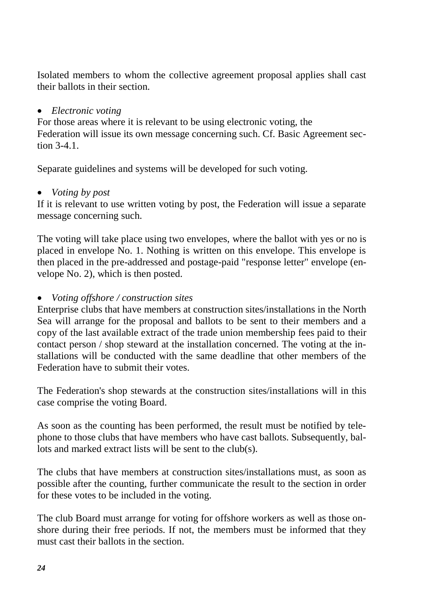Isolated members to whom the collective agreement proposal applies shall cast their ballots in their section.

#### • *Electronic voting*

For those areas where it is relevant to be using electronic voting, the Federation will issue its own message concerning such. Cf. Basic Agreement sec $t$ ion 3-4.1.

Separate guidelines and systems will be developed for such voting.

#### • *Voting by post*

If it is relevant to use written voting by post, the Federation will issue a separate message concerning such.

The voting will take place using two envelopes, where the ballot with yes or no is placed in envelope No. 1. Nothing is written on this envelope. This envelope is then placed in the pre-addressed and postage-paid "response letter" envelope (envelope No. 2), which is then posted.

## • *Voting offshore / construction sites*

Enterprise clubs that have members at construction sites/installations in the North Sea will arrange for the proposal and ballots to be sent to their members and a copy of the last available extract of the trade union membership fees paid to their contact person / shop steward at the installation concerned. The voting at the installations will be conducted with the same deadline that other members of the Federation have to submit their votes.

The Federation's shop stewards at the construction sites/installations will in this case comprise the voting Board.

As soon as the counting has been performed, the result must be notified by telephone to those clubs that have members who have cast ballots. Subsequently, ballots and marked extract lists will be sent to the club(s).

The clubs that have members at construction sites/installations must, as soon as possible after the counting, further communicate the result to the section in order for these votes to be included in the voting.

The club Board must arrange for voting for offshore workers as well as those onshore during their free periods. If not, the members must be informed that they must cast their ballots in the section.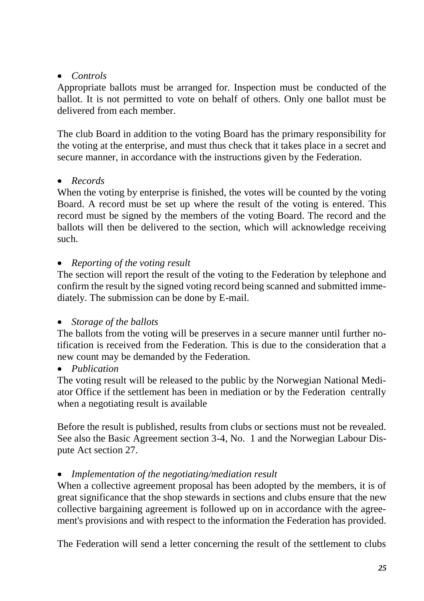# • *Controls*

Appropriate ballots must be arranged for. Inspection must be conducted of the ballot. It is not permitted to vote on behalf of others. Only one ballot must be delivered from each member.

The club Board in addition to the voting Board has the primary responsibility for the voting at the enterprise, and must thus check that it takes place in a secret and secure manner, in accordance with the instructions given by the Federation.

## • *Records*

When the voting by enterprise is finished, the votes will be counted by the voting Board. A record must be set up where the result of the voting is entered. This record must be signed by the members of the voting Board. The record and the ballots will then be delivered to the section, which will acknowledge receiving such.

## • *Reporting of the voting result*

The section will report the result of the voting to the Federation by telephone and confirm the result by the signed voting record being scanned and submitted immediately. The submission can be done by E-mail.

## • *Storage of the ballots*

The ballots from the voting will be preserves in a secure manner until further notification is received from the Federation. This is due to the consideration that a new count may be demanded by the Federation.

• *Publication* 

The voting result will be released to the public by the Norwegian National Mediator Office if the settlement has been in mediation or by the Federation centrally when a negotiating result is available

Before the result is published, results from clubs or sections must not be revealed. See also the Basic Agreement section 3-4, No. 1 and the Norwegian Labour Dispute Act section 27.

## • *Implementation of the negotiating/mediation result*

When a collective agreement proposal has been adopted by the members, it is of great significance that the shop stewards in sections and clubs ensure that the new collective bargaining agreement is followed up on in accordance with the agreement's provisions and with respect to the information the Federation has provided.

The Federation will send a letter concerning the result of the settlement to clubs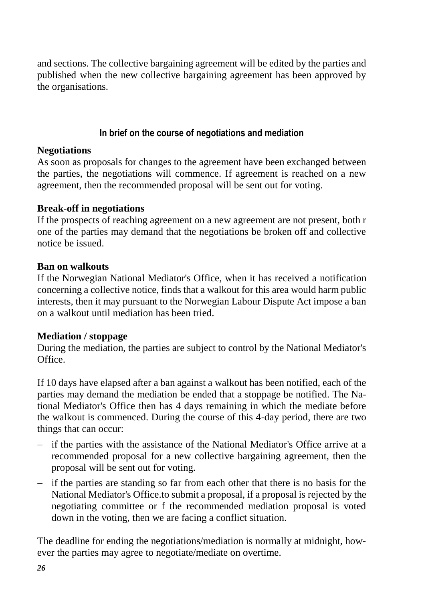and sections. The collective bargaining agreement will be edited by the parties and published when the new collective bargaining agreement has been approved by the organisations.

#### **In brief on the course of negotiations and mediation**

#### <span id="page-25-1"></span><span id="page-25-0"></span>**Negotiations**

As soon as proposals for changes to the agreement have been exchanged between the parties, the negotiations will commence. If agreement is reached on a new agreement, then the recommended proposal will be sent out for voting.

#### <span id="page-25-2"></span>**Break-off in negotiations**

If the prospects of reaching agreement on a new agreement are not present, both r one of the parties may demand that the negotiations be broken off and collective notice be issued.

#### <span id="page-25-3"></span>**Ban on walkouts**

If the Norwegian National Mediator's Office, when it has received a notification concerning a collective notice, finds that a walkout for this area would harm public interests, then it may pursuant to the Norwegian Labour Dispute Act impose a ban on a walkout until mediation has been tried.

## <span id="page-25-4"></span>**Mediation / stoppage**

During the mediation, the parties are subject to control by the National Mediator's Office.

If 10 days have elapsed after a ban against a walkout has been notified, each of the parties may demand the mediation be ended that a stoppage be notified. The National Mediator's Office then has 4 days remaining in which the mediate before the walkout is commenced. During the course of this 4-day period, there are two things that can occur:

- $\overline{\phantom{a}}$  if the parties with the assistance of the National Mediator's Office arrive at a recommended proposal for a new collective bargaining agreement, then the proposal will be sent out for voting.
- $\overline{\phantom{a}}$  if the parties are standing so far from each other that there is no basis for the National Mediator's Office.to submit a proposal, if a proposal is rejected by the negotiating committee or f the recommended mediation proposal is voted down in the voting, then we are facing a conflict situation.

The deadline for ending the negotiations/mediation is normally at midnight, however the parties may agree to negotiate/mediate on overtime.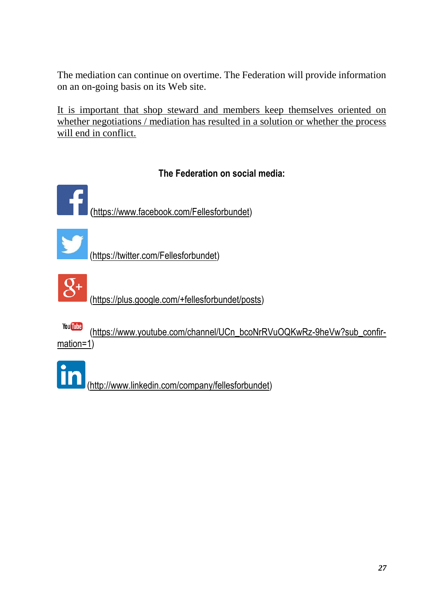The mediation can continue on overtime. The Federation will provide information on an on-going basis on its Web site.

It is important that shop steward and members keep themselves oriented on whether negotiations / mediation has resulted in a solution or whether the process will end in conflict.

# **The Federation on social media:**

<span id="page-26-0"></span>([https://www.facebook.com/Fellesforbundet\)](https://www.facebook.com/Fellesforbundet)

[\(https://twitter.com/Fellesforbundet\)](https://twitter.com/Fellesforbundet)



[\(https://plus.google.com/+fellesforbundet/posts\)](https://plus.google.com/+fellesforbundet/posts)

You Tube [\(https://www.youtube.com/channel/UCn\\_bcoNrRVuOQKwRz-9heVw?sub\\_confir](https://www.youtube.com/channel/UCn_bcoNrRVuOQKwRz-9heVw?sub_confirmation=1)[mation=1\)](https://www.youtube.com/channel/UCn_bcoNrRVuOQKwRz-9heVw?sub_confirmation=1)

[\(http://www.linkedin.com/company/fellesforbundet\)](http://www.linkedin.com/company/fellesforbundet)